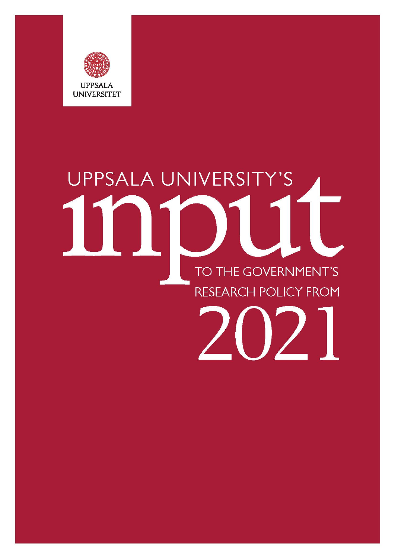

# UPPSALA UNIVERSITY'S TO THE GOVERNMENT'S **RESEARCH POLICY FROM**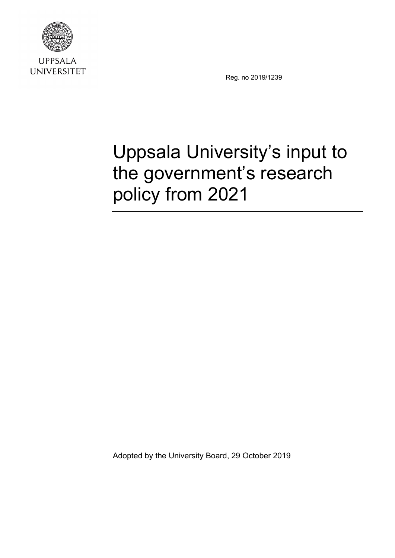

**UPPSALA UNIVERSITET** 

Reg. no 2019/1239

# Uppsala University's input to the government's research policy from 2021

Adopted by the University Board, 29 October 2019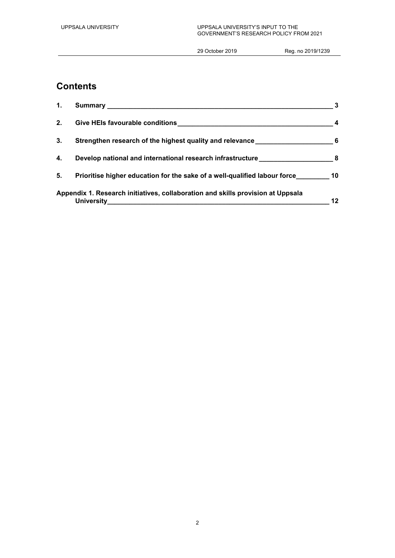# **Contents**

| 1. |                                                                                            | 3   |
|----|--------------------------------------------------------------------------------------------|-----|
| 2. |                                                                                            | 4   |
| 3. | Strengthen research of the highest quality and relevance                                   | - 6 |
| 4. | Develop national and international research infrastructure manufacture and the set of $\,$ |     |
| 5. | Prioritise higher education for the sake of a well-qualified labour force 10               |     |
|    | Appendix 1. Research initiatives, collaboration and skills provision at Uppsala            | 12  |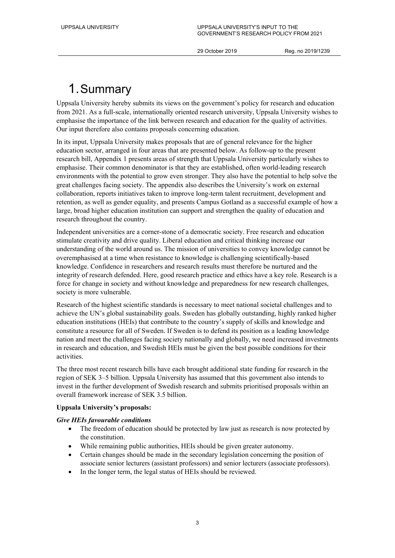29 October 2019 Reg. no 2019/1239

# 1.Summary

Uppsala University hereby submits its views on the government's policy for research and education from 2021. As a full-scale, internationally oriented research university, Uppsala University wishes to emphasise the importance of the link between research and education for the quality of activities. Our input therefore also contains proposals concerning education.

In its input, Uppsala University makes proposals that are of general relevance for the higher education sector, arranged in four areas that are presented below. As follow-up to the present research bill, Appendix 1 presents areas of strength that Uppsala University particularly wishes to emphasise. Their common denominator is that they are established, often world-leading research environments with the potential to grow even stronger. They also have the potential to help solve the great challenges facing society. The appendix also describes the University's work on external collaboration, reports initiatives taken to improve long-term talent recruitment, development and retention, as well as gender equality, and presents Campus Gotland as a successful example of how a large, broad higher education institution can support and strengthen the quality of education and research throughout the country.

Independent universities are a corner-stone of a democratic society. Free research and education stimulate creativity and drive quality. Liberal education and critical thinking increase our understanding of the world around us. The mission of universities to convey knowledge cannot be overemphasised at a time when resistance to knowledge is challenging scientifically-based knowledge. Confidence in researchers and research results must therefore be nurtured and the integrity of research defended. Here, good research practice and ethics have a key role. Research is a force for change in society and without knowledge and preparedness for new research challenges, society is more vulnerable.

Research of the highest scientific standards is necessary to meet national societal challenges and to achieve the UN's global sustainability goals. Sweden has globally outstanding, highly ranked higher education institutions (HEIs) that contribute to the country's supply of skills and knowledge and constitute a resource for all of Sweden. If Sweden is to defend its position as a leading knowledge nation and meet the challenges facing society nationally and globally, we need increased investments in research and education, and Swedish HEIs must be given the best possible conditions for their activities.

The three most recent research bills have each brought additional state funding for research in the region of SEK 3–5 billion. Uppsala University has assumed that this government also intends to invest in the further development of Swedish research and submits prioritised proposals within an overall framework increase of SEK 3.5 billion.

### **Uppsala University's proposals:**

### *Give HEIs favourable conditions*

- The freedom of education should be protected by law just as research is now protected by the constitution.
- While remaining public authorities, HEIs should be given greater autonomy.
- Certain changes should be made in the secondary legislation concerning the position of associate senior lecturers (assistant professors) and senior lecturers (associate professors).
- In the longer term, the legal status of HEIs should be reviewed.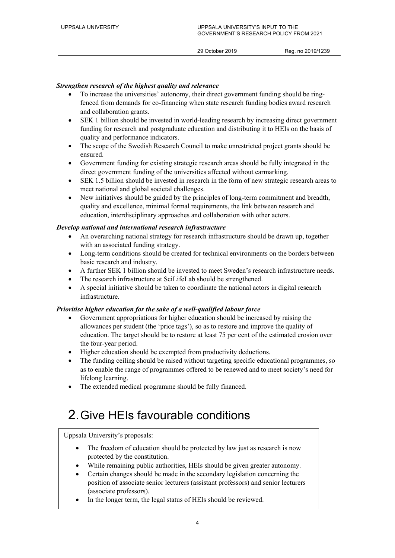### *Strengthen research of the highest quality and relevance*

- To increase the universities' autonomy, their direct government funding should be ringfenced from demands for co-financing when state research funding bodies award research and collaboration grants.
- SEK 1 billion should be invested in world-leading research by increasing direct government funding for research and postgraduate education and distributing it to HEIs on the basis of quality and performance indicators.
- The scope of the Swedish Research Council to make unrestricted project grants should be ensured.
- Government funding for existing strategic research areas should be fully integrated in the direct government funding of the universities affected without earmarking.
- SEK 1.5 billion should be invested in research in the form of new strategic research areas to meet national and global societal challenges.
- New initiatives should be guided by the principles of long-term commitment and breadth, quality and excellence, minimal formal requirements, the link between research and education, interdisciplinary approaches and collaboration with other actors.

### *Develop national and international research infrastructure*

- An overarching national strategy for research infrastructure should be drawn up, together with an associated funding strategy.
- Long-term conditions should be created for technical environments on the borders between basic research and industry.
- A further SEK 1 billion should be invested to meet Sweden's research infrastructure needs.
- The research infrastructure at SciLifeLab should be strengthened.
- A special initiative should be taken to coordinate the national actors in digital research infrastructure.

### *Prioritise higher education for the sake of a well-qualified labour force*

- Government appropriations for higher education should be increased by raising the allowances per student (the 'price tags'), so as to restore and improve the quality of education. The target should be to restore at least 75 per cent of the estimated erosion over the four-year period.
- Higher education should be exempted from productivity deductions.
- The funding ceiling should be raised without targeting specific educational programmes, so as to enable the range of programmes offered to be renewed and to meet society's need for lifelong learning.
- The extended medical programme should be fully financed.

# 2.Give HEIs favourable conditions

Uppsala University's proposals:

- The freedom of education should be protected by law just as research is now protected by the constitution.
- While remaining public authorities, HEIs should be given greater autonomy.
- Certain changes should be made in the secondary legislation concerning the position of associate senior lecturers (assistant professors) and senior lecturers (associate professors).
- In the longer term, the legal status of HEIs should be reviewed.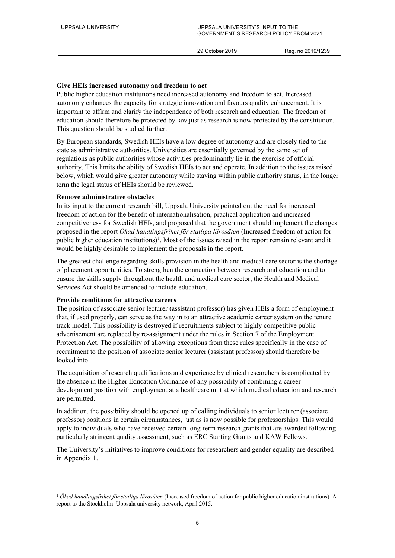### **Give HEIs increased autonomy and freedom to act**

Public higher education institutions need increased autonomy and freedom to act. Increased autonomy enhances the capacity for strategic innovation and favours quality enhancement. It is important to affirm and clarify the independence of both research and education. The freedom of education should therefore be protected by law just as research is now protected by the constitution. This question should be studied further.

By European standards, Swedish HEIs have a low degree of autonomy and are closely tied to the state as administrative authorities. Universities are essentially governed by the same set of regulations as public authorities whose activities predominantly lie in the exercise of official authority. This limits the ability of Swedish HEIs to act and operate. In addition to the issues raised below, which would give greater autonomy while staying within public authority status, in the longer term the legal status of HEIs should be reviewed.

### **Remove administrative obstacles**

In its input to the current research bill, Uppsala University pointed out the need for increased freedom of action for the benefit of internationalisation, practical application and increased competitiveness for Swedish HEIs, and proposed that the government should implement the changes proposed in the report *Ökad handlingsfrihet för statliga lärosäten* (Increased freedom of action for public higher education institutions)<sup>[1](#page-5-0)</sup>. Most of the issues raised in the report remain relevant and it would be highly desirable to implement the proposals in the report.

The greatest challenge regarding skills provision in the health and medical care sector is the shortage of placement opportunities. To strengthen the connection between research and education and to ensure the skills supply throughout the health and medical care sector, the Health and Medical Services Act should be amended to include education.

### **Provide conditions for attractive careers**

The position of associate senior lecturer (assistant professor) has given HEIs a form of employment that, if used properly, can serve as the way in to an attractive academic career system on the tenure track model. This possibility is destroyed if recruitments subject to highly competitive public advertisement are replaced by re-assignment under the rules in Section 7 of the Employment Protection Act. The possibility of allowing exceptions from these rules specifically in the case of recruitment to the position of associate senior lecturer (assistant professor) should therefore be looked into.

The acquisition of research qualifications and experience by clinical researchers is complicated by the absence in the Higher Education Ordinance of any possibility of combining a careerdevelopment position with employment at a healthcare unit at which medical education and research are permitted.

In addition, the possibility should be opened up of calling individuals to senior lecturer (associate professor) positions in certain circumstances, just as is now possible for professorships. This would apply to individuals who have received certain long-term research grants that are awarded following particularly stringent quality assessment, such as ERC Starting Grants and KAW Fellows.

The University's initiatives to improve conditions for researchers and gender equality are described in Appendix 1.

<span id="page-5-0"></span> <sup>1</sup> *Ökad handlingsfrihet för statliga lärosäten* (Increased freedom of action for public higher education institutions). A report to the Stockholm–Uppsala university network, April 2015.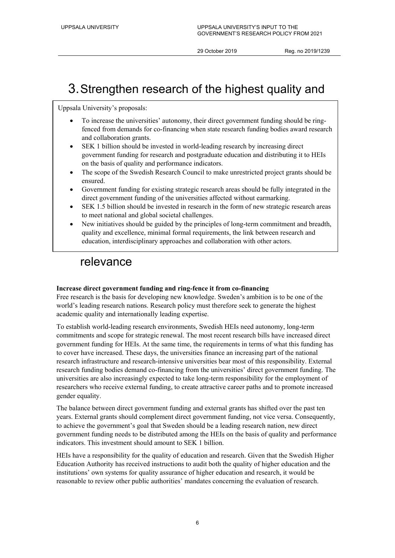# 3.Strengthen research of the highest quality and

Uppsala University's proposals:

- To increase the universities' autonomy, their direct government funding should be ringfenced from demands for co-financing when state research funding bodies award research and collaboration grants.
- SEK 1 billion should be invested in world-leading research by increasing direct government funding for research and postgraduate education and distributing it to HEIs on the basis of quality and performance indicators.
- The scope of the Swedish Research Council to make unrestricted project grants should be ensured.
- Government funding for existing strategic research areas should be fully integrated in the direct government funding of the universities affected without earmarking.
- SEK 1.5 billion should be invested in research in the form of new strategic research areas to meet national and global societal challenges.
- New initiatives should be guided by the principles of long-term commitment and breadth, quality and excellence, minimal formal requirements, the link between research and education, interdisciplinary approaches and collaboration with other actors.

## relevance

### **Increase direct government funding and ring-fence it from co-financing**

Free research is the basis for developing new knowledge. Sweden's ambition is to be one of the world's leading research nations. Research policy must therefore seek to generate the highest academic quality and internationally leading expertise.

To establish world-leading research environments, Swedish HEIs need autonomy, long-term commitments and scope for strategic renewal. The most recent research bills have increased direct government funding for HEIs. At the same time, the requirements in terms of what this funding has to cover have increased. These days, the universities finance an increasing part of the national research infrastructure and research-intensive universities bear most of this responsibility. External research funding bodies demand co-financing from the universities' direct government funding. The universities are also increasingly expected to take long-term responsibility for the employment of researchers who receive external funding, to create attractive career paths and to promote increased gender equality.

The balance between direct government funding and external grants has shifted over the past ten years. External grants should complement direct government funding, not vice versa. Consequently, to achieve the government's goal that Sweden should be a leading research nation, new direct government funding needs to be distributed among the HEIs on the basis of quality and performance indicators. This investment should amount to SEK 1 billion.

HEIs have a responsibility for the quality of education and research. Given that the Swedish Higher Education Authority has received instructions to audit both the quality of higher education and the institutions' own systems for quality assurance of higher education and research, it would be reasonable to review other public authorities' mandates concerning the evaluation of research.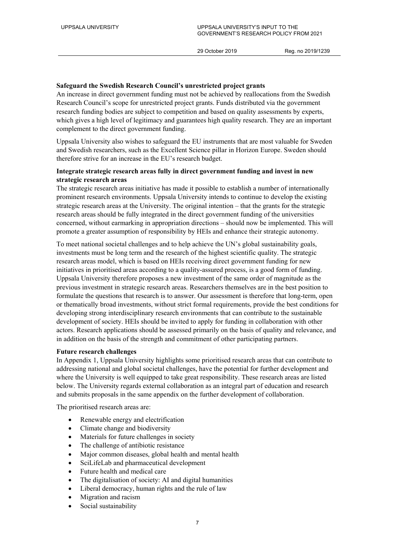### **Safeguard the Swedish Research Council's unrestricted project grants**

An increase in direct government funding must not be achieved by reallocations from the Swedish Research Council's scope for unrestricted project grants. Funds distributed via the government research funding bodies are subject to competition and based on quality assessments by experts, which gives a high level of legitimacy and guarantees high quality research. They are an important complement to the direct government funding.

Uppsala University also wishes to safeguard the EU instruments that are most valuable for Sweden and Swedish researchers, such as the Excellent Science pillar in Horizon Europe. Sweden should therefore strive for an increase in the EU's research budget.

### **Integrate strategic research areas fully in direct government funding and invest in new strategic research areas**

The strategic research areas initiative has made it possible to establish a number of internationally prominent research environments. Uppsala University intends to continue to develop the existing strategic research areas at the University. The original intention – that the grants for the strategic research areas should be fully integrated in the direct government funding of the universities concerned, without earmarking in appropriation directions – should now be implemented. This will promote a greater assumption of responsibility by HEIs and enhance their strategic autonomy.

To meet national societal challenges and to help achieve the UN's global sustainability goals, investments must be long term and the research of the highest scientific quality. The strategic research areas model, which is based on HEIs receiving direct government funding for new initiatives in prioritised areas according to a quality-assured process, is a good form of funding. Uppsala University therefore proposes a new investment of the same order of magnitude as the previous investment in strategic research areas. Researchers themselves are in the best position to formulate the questions that research is to answer. Our assessment is therefore that long-term, open or thematically broad investments, without strict formal requirements, provide the best conditions for developing strong interdisciplinary research environments that can contribute to the sustainable development of society. HEIs should be invited to apply for funding in collaboration with other actors. Research applications should be assessed primarily on the basis of quality and relevance, and in addition on the basis of the strength and commitment of other participating partners.

### **Future research challenges**

In Appendix 1, Uppsala University highlights some prioritised research areas that can contribute to addressing national and global societal challenges, have the potential for further development and where the University is well equipped to take great responsibility. These research areas are listed below. The University regards external collaboration as an integral part of education and research and submits proposals in the same appendix on the further development of collaboration.

The prioritised research areas are:

- Renewable energy and electrification
- Climate change and biodiversity
- Materials for future challenges in society
- The challenge of antibiotic resistance
- Major common diseases, global health and mental health
- SciLifeLab and pharmaceutical development
- Future health and medical care
- The digitalisation of society: AI and digital humanities
- Liberal democracy, human rights and the rule of law
- Migration and racism
- Social sustainability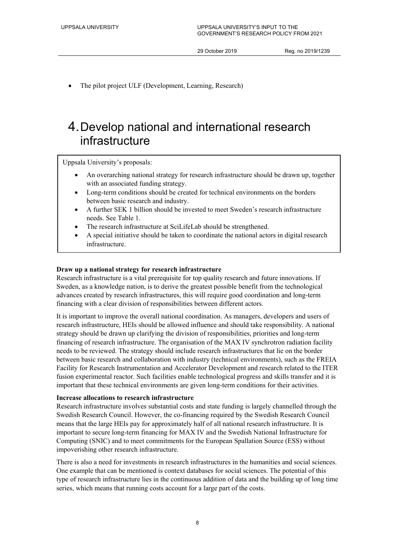The pilot project ULF (Development, Learning, Research)

# 4.Develop national and international research infrastructure

Uppsala University's proposals:

- An overarching national strategy for research infrastructure should be drawn up, together with an associated funding strategy.
- Long-term conditions should be created for technical environments on the borders between basic research and industry.
- A further SEK 1 billion should be invested to meet Sweden's research infrastructure needs. See Table 1.
- The research infrastructure at SciLifeLab should be strengthened.
- A special initiative should be taken to coordinate the national actors in digital research infrastructure.

### **Draw up a national strategy for research infrastructure**

Research infrastructure is a vital prerequisite for top quality research and future innovations. If Sweden, as a knowledge nation, is to derive the greatest possible benefit from the technological advances created by research infrastructures, this will require good coordination and long-term financing with a clear division of responsibilities between different actors.

It is important to improve the overall national coordination. As managers, developers and users of research infrastructure, HEIs should be allowed influence and should take responsibility. A national strategy should be drawn up clarifying the division of responsibilities, priorities and long-term financing of research infrastructure. The organisation of the MAX IV synchrotron radiation facility needs to be reviewed. The strategy should include research infrastructures that lie on the border between basic research and collaboration with industry (technical environments), such as the FREIA Facility for Research Instrumentation and Accelerator Development and research related to the ITER fusion experimental reactor. Such facilities enable technological progress and skills transfer and it is important that these technical environments are given long-term conditions for their activities.

### **Increase allocations to research infrastructure**

Research infrastructure involves substantial costs and state funding is largely channelled through the Swedish Research Council. However, the co-financing required by the Swedish Research Council means that the large HEIs pay for approximately half of all national research infrastructure. It is important to secure long-term financing for MAX IV and the Swedish National Infrastructure for Computing (SNIC) and to meet commitments for the European Spallation Source (ESS) without impoverishing other research infrastructure.

There is also a need for investments in research infrastructures in the humanities and social sciences. One example that can be mentioned is context databases for social sciences. The potential of this type of research infrastructure lies in the continuous addition of data and the building up of long time series, which means that running costs account for a large part of the costs.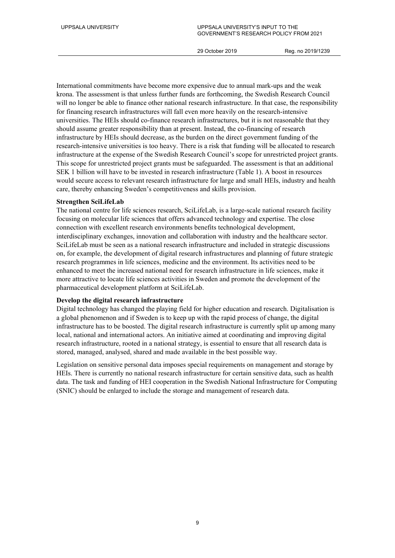International commitments have become more expensive due to annual mark-ups and the weak krona. The assessment is that unless further funds are forthcoming, the Swedish Research Council will no longer be able to finance other national research infrastructure. In that case, the responsibility for financing research infrastructures will fall even more heavily on the research-intensive universities. The HEIs should co-finance research infrastructures, but it is not reasonable that they should assume greater responsibility than at present. Instead, the co-financing of research infrastructure by HEIs should decrease, as the burden on the direct government funding of the research-intensive universities is too heavy. There is a risk that funding will be allocated to research infrastructure at the expense of the Swedish Research Council's scope for unrestricted project grants. This scope for unrestricted project grants must be safeguarded. The assessment is that an additional SEK 1 billion will have to be invested in research infrastructure (Table 1). A boost in resources would secure access to relevant research infrastructure for large and small HEIs, industry and health care, thereby enhancing Sweden's competitiveness and skills provision.

### **Strengthen SciLifeLab**

The national centre for life sciences research, SciLifeLab, is a large-scale national research facility focusing on molecular life sciences that offers advanced technology and expertise. The close connection with excellent research environments benefits technological development, interdisciplinary exchanges, innovation and collaboration with industry and the healthcare sector. SciLifeLab must be seen as a national research infrastructure and included in strategic discussions on, for example, the development of digital research infrastructures and planning of future strategic research programmes in life sciences, medicine and the environment. Its activities need to be enhanced to meet the increased national need for research infrastructure in life sciences, make it more attractive to locate life sciences activities in Sweden and promote the development of the pharmaceutical development platform at SciLifeLab.

### **Develop the digital research infrastructure**

Digital technology has changed the playing field for higher education and research. Digitalisation is a global phenomenon and if Sweden is to keep up with the rapid process of change, the digital infrastructure has to be boosted. The digital research infrastructure is currently split up among many local, national and international actors. An initiative aimed at coordinating and improving digital research infrastructure, rooted in a national strategy, is essential to ensure that all research data is stored, managed, analysed, shared and made available in the best possible way.

Legislation on sensitive personal data imposes special requirements on management and storage by HEIs. There is currently no national research infrastructure for certain sensitive data, such as health data. The task and funding of HEI cooperation in the Swedish National Infrastructure for Computing (SNIC) should be enlarged to include the storage and management of research data.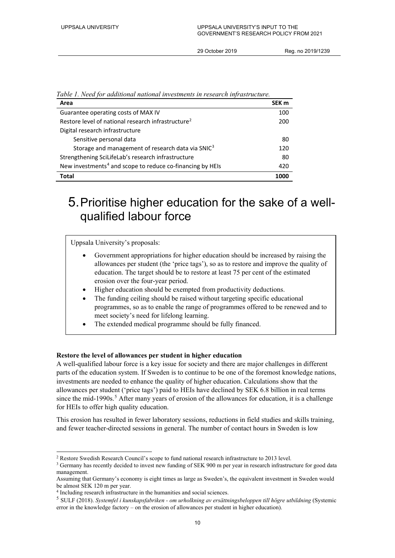| Area                                                                  | SEK <sub>m</sub> |
|-----------------------------------------------------------------------|------------------|
| Guarantee operating costs of MAX IV                                   | 100              |
| Restore level of national research infrastructure <sup>2</sup>        | 200              |
| Digital research infrastructure                                       |                  |
| Sensitive personal data                                               | 80               |
| Storage and management of research data via SNIC <sup>3</sup>         | 120              |
| Strengthening SciLifeLab's research infrastructure                    | -80              |
| New investments <sup>4</sup> and scope to reduce co-financing by HEIs | 420              |
| Total                                                                 | 1000             |

*Table 1. Need for additional national investments in research infrastructure.*

# 5.Prioritise higher education for the sake of a wellqualified labour force

Uppsala University's proposals:

- Government appropriations for higher education should be increased by raising the allowances per student (the 'price tags'), so as to restore and improve the quality of education. The target should be to restore at least 75 per cent of the estimated erosion over the four-year period.
- Higher education should be exempted from productivity deductions.
- The funding ceiling should be raised without targeting specific educational programmes, so as to enable the range of programmes offered to be renewed and to meet society's need for lifelong learning.
- The extended medical programme should be fully financed.

### **Restore the level of allowances per student in higher education**

A well-qualified labour force is a key issue for society and there are major challenges in different parts of the education system. If Sweden is to continue to be one of the foremost knowledge nations, investments are needed to enhance the quality of higher education. Calculations show that the allowances per student ('price tags') paid to HEIs have declined by SEK 6.8 billion in real terms since the mid-1990s.<sup>[5](#page-10-3)</sup> After many years of erosion of the allowances for education, it is a challenge for HEIs to offer high quality education.

This erosion has resulted in fewer laboratory sessions, reductions in field studies and skills training, and fewer teacher-directed sessions in general. The number of contact hours in Sweden is low

<span id="page-10-1"></span><span id="page-10-0"></span> <sup>2</sup> Restore Swedish Research Council's scope to fund national research infrastructure to 2013 level.

<sup>&</sup>lt;sup>3</sup> Germany has recently decided to invest new funding of SEK 900 m per year in research infrastructure for good data management.

Assuming that Germany's economy is eight times as large as Sweden's, the equivalent investment in Sweden would be almost SEK 120 m per year.

<span id="page-10-2"></span><sup>4</sup> Including research infrastructure in the humanities and social sciences.

<span id="page-10-3"></span><sup>5</sup> SULF (2018). *Systemfel i kunskapsfabriken - om urholkning av ersättningsbeloppen till högre utbildning* (Systemic error in the knowledge factory – on the erosion of allowances per student in higher education).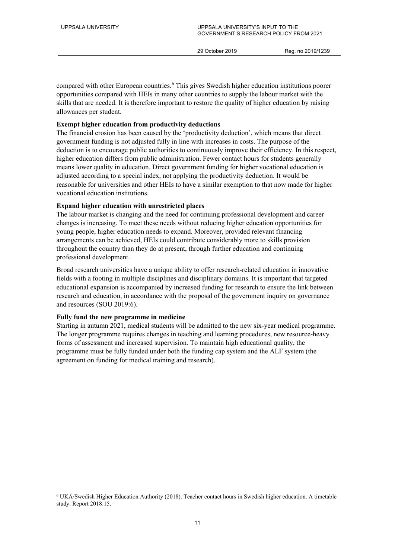compared with other European countries.<sup>[6](#page-11-0)</sup> This gives Swedish higher education institutions poorer opportunities compared with HEIs in many other countries to supply the labour market with the skills that are needed. It is therefore important to restore the quality of higher education by raising allowances per student.

### **Exempt higher education from productivity deductions**

The financial erosion has been caused by the 'productivity deduction', which means that direct government funding is not adjusted fully in line with increases in costs. The purpose of the deduction is to encourage public authorities to continuously improve their efficiency. In this respect, higher education differs from public administration. Fewer contact hours for students generally means lower quality in education. Direct government funding for higher vocational education is adjusted according to a special index, not applying the productivity deduction. It would be reasonable for universities and other HEIs to have a similar exemption to that now made for higher vocational education institutions.

### **Expand higher education with unrestricted places**

The labour market is changing and the need for continuing professional development and career changes is increasing. To meet these needs without reducing higher education opportunities for young people, higher education needs to expand. Moreover, provided relevant financing arrangements can be achieved, HEIs could contribute considerably more to skills provision throughout the country than they do at present, through further education and continuing professional development.

Broad research universities have a unique ability to offer research-related education in innovative fields with a footing in multiple disciplines and disciplinary domains. It is important that targeted educational expansion is accompanied by increased funding for research to ensure the link between research and education, in accordance with the proposal of the government inquiry on governance and resources (SOU 2019:6).

### **Fully fund the new programme in medicine**

Starting in autumn 2021, medical students will be admitted to the new six-year medical programme. The longer programme requires changes in teaching and learning procedures, new resource-heavy forms of assessment and increased supervision. To maintain high educational quality, the programme must be fully funded under both the funding cap system and the ALF system (the agreement on funding for medical training and research).

<span id="page-11-0"></span> <sup>6</sup> UKÄ/Swedish Higher Education Authority (2018). Teacher contact hours in Swedish higher education. A timetable study. Report 2018:15.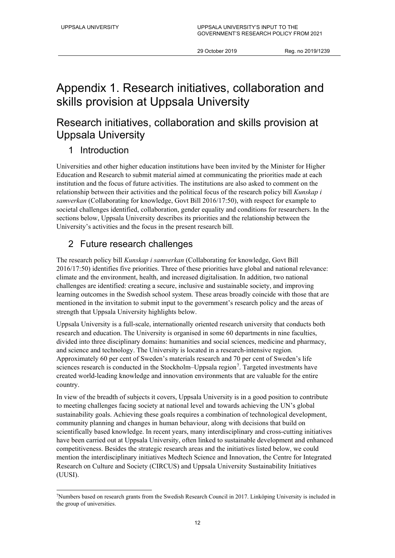# Appendix 1. Research initiatives, collaboration and skills provision at Uppsala University

# Research initiatives, collaboration and skills provision at Uppsala University

### 1 Introduction

Universities and other higher education institutions have been invited by the Minister for Higher Education and Research to submit material aimed at communicating the priorities made at each institution and the focus of future activities. The institutions are also asked to comment on the relationship between their activities and the political focus of the research policy bill *Kunskap i samverkan* (Collaborating for knowledge, Govt Bill 2016/17:50), with respect for example to societal challenges identified, collaboration, gender equality and conditions for researchers. In the sections below, Uppsala University describes its priorities and the relationship between the University's activities and the focus in the present research bill.

### 2 Future research challenges

The research policy bill *Kunskap i samverkan* (Collaborating for knowledge, Govt Bill 2016/17:50) identifies five priorities. Three of these priorities have global and national relevance: climate and the environment, health, and increased digitalisation. In addition, two national challenges are identified: creating a secure, inclusive and sustainable society, and improving learning outcomes in the Swedish school system. These areas broadly coincide with those that are mentioned in the invitation to submit input to the government's research policy and the areas of strength that Uppsala University highlights below.

Uppsala University is a full-scale, internationally oriented research university that conducts both research and education. The University is organised in some 60 departments in nine faculties, divided into three disciplinary domains: humanities and social sciences, medicine and pharmacy, and science and technology. The University is located in a research-intensive region. Approximately 60 per cent of Sweden's materials research and 70 per cent of Sweden's life sciences research is conducted in the Stockholm–Uppsala region<sup>[7](#page-12-0)</sup>. Targeted investments have created world-leading knowledge and innovation environments that are valuable for the entire country.

In view of the breadth of subjects it covers, Uppsala University is in a good position to contribute to meeting challenges facing society at national level and towards achieving the UN's global sustainability goals. Achieving these goals requires a combination of technological development, community planning and changes in human behaviour, along with decisions that build on scientifically based knowledge. In recent years, many interdisciplinary and cross-cutting initiatives have been carried out at Uppsala University, often linked to sustainable development and enhanced competitiveness. Besides the strategic research areas and the initiatives listed below, we could mention the interdisciplinary initiatives Medtech Science and Innovation, the Centre for Integrated Research on Culture and Society (CIRCUS) and Uppsala University Sustainability Initiatives (UUSI).

<span id="page-12-0"></span> <sup>7</sup>Numbers based on research grants from the Swedish Research Council in 2017. Linköping University is included in the group of universities.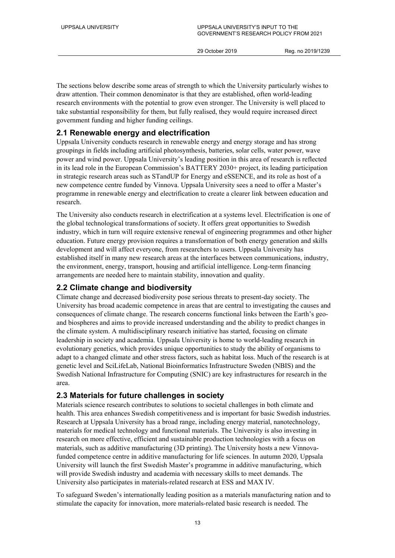The sections below describe some areas of strength to which the University particularly wishes to draw attention. Their common denominator is that they are established, often world-leading research environments with the potential to grow even stronger. The University is well placed to take substantial responsibility for them, but fully realised, they would require increased direct government funding and higher funding ceilings.

### **2.1 Renewable energy and electrification**

Uppsala University conducts research in renewable energy and energy storage and has strong groupings in fields including artificial photosynthesis, batteries, solar cells, water power, wave power and wind power. Uppsala University's leading position in this area of research is reflected in its lead role in the European Commission's BATTERY 2030+ project, its leading participation in strategic research areas such as STandUP for Energy and eSSENCE, and its role as host of a new competence centre funded by Vinnova. Uppsala University sees a need to offer a Master's programme in renewable energy and electrification to create a clearer link between education and research.

The University also conducts research in electrification at a systems level. Electrification is one of the global technological transformations of society. It offers great opportunities to Swedish industry, which in turn will require extensive renewal of engineering programmes and other higher education. Future energy provision requires a transformation of both energy generation and skills development and will affect everyone, from researchers to users. Uppsala University has established itself in many new research areas at the interfaces between communications, industry, the environment, energy, transport, housing and artificial intelligence. Long-term financing arrangements are needed here to maintain stability, innovation and quality.

### **2.2 Climate change and biodiversity**

Climate change and decreased biodiversity pose serious threats to present-day society. The University has broad academic competence in areas that are central to investigating the causes and consequences of climate change. The research concerns functional links between the Earth's geoand biospheres and aims to provide increased understanding and the ability to predict changes in the climate system. A multidisciplinary research initiative has started, focusing on climate leadership in society and academia. Uppsala University is home to world-leading research in evolutionary genetics, which provides unique opportunities to study the ability of organisms to adapt to a changed climate and other stress factors, such as habitat loss. Much of the research is at genetic level and SciLifeLab, National Bioinformatics Infrastructure Sweden (NBIS) and the Swedish National Infrastructure for Computing (SNIC) are key infrastructures for research in the area.

### **2.3 Materials for future challenges in society**

Materials science research contributes to solutions to societal challenges in both climate and health. This area enhances Swedish competitiveness and is important for basic Swedish industries. Research at Uppsala University has a broad range, including energy material, nanotechnology, materials for medical technology and functional materials. The University is also investing in research on more effective, efficient and sustainable production technologies with a focus on materials, such as additive manufacturing (3D printing). The University hosts a new Vinnovafunded competence centre in additive manufacturing for life sciences. In autumn 2020, Uppsala University will launch the first Swedish Master's programme in additive manufacturing, which will provide Swedish industry and academia with necessary skills to meet demands. The University also participates in materials-related research at ESS and MAX IV.

To safeguard Sweden's internationally leading position as a materials manufacturing nation and to stimulate the capacity for innovation, more materials-related basic research is needed. The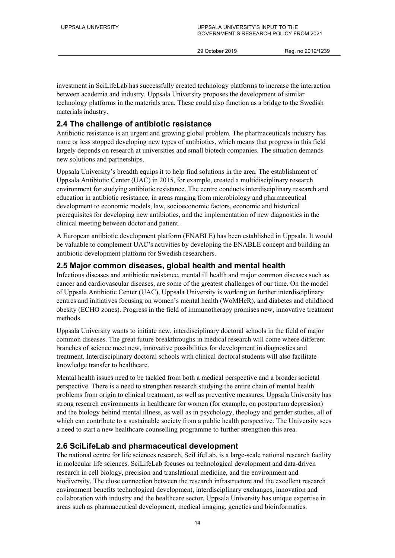investment in SciLifeLab has successfully created technology platforms to increase the interaction between academia and industry. Uppsala University proposes the development of similar technology platforms in the materials area. These could also function as a bridge to the Swedish materials industry.

### **2.4 The challenge of antibiotic resistance**

Antibiotic resistance is an urgent and growing global problem. The pharmaceuticals industry has more or less stopped developing new types of antibiotics, which means that progress in this field largely depends on research at universities and small biotech companies. The situation demands new solutions and partnerships.

Uppsala University's breadth equips it to help find solutions in the area. The establishment of Uppsala Antibiotic Center (UAC) in 2015, for example, created a multidisciplinary research environment for studying antibiotic resistance. The centre conducts interdisciplinary research and education in antibiotic resistance, in areas ranging from microbiology and pharmaceutical development to economic models, law, socioeconomic factors, economic and historical prerequisites for developing new antibiotics, and the implementation of new diagnostics in the clinical meeting between doctor and patient.

A European antibiotic development platform (ENABLE) has been established in Uppsala. It would be valuable to complement UAC's activities by developing the ENABLE concept and building an antibiotic development platform for Swedish researchers.

### **2.5 Major common diseases, global health and mental health**

Infectious diseases and antibiotic resistance, mental ill health and major common diseases such as cancer and cardiovascular diseases, are some of the greatest challenges of our time. On the model of Uppsala Antibiotic Center (UAC), Uppsala University is working on further interdisciplinary centres and initiatives focusing on women's mental health (WoMHeR), and diabetes and childhood obesity (ECHO zones). Progress in the field of immunotherapy promises new, innovative treatment methods.

Uppsala University wants to initiate new, interdisciplinary doctoral schools in the field of major common diseases. The great future breakthroughs in medical research will come where different branches of science meet new, innovative possibilities for development in diagnostics and treatment. Interdisciplinary doctoral schools with clinical doctoral students will also facilitate knowledge transfer to healthcare.

Mental health issues need to be tackled from both a medical perspective and a broader societal perspective. There is a need to strengthen research studying the entire chain of mental health problems from origin to clinical treatment, as well as preventive measures. Uppsala University has strong research environments in healthcare for women (for example, on postpartum depression) and the biology behind mental illness, as well as in psychology, theology and gender studies, all of which can contribute to a sustainable society from a public health perspective. The University sees a need to start a new healthcare counselling programme to further strengthen this area.

### **2.6 SciLifeLab and pharmaceutical development**

The national centre for life sciences research, SciLifeLab, is a large-scale national research facility in molecular life sciences. SciLifeLab focuses on technological development and data-driven research in cell biology, precision and translational medicine, and the environment and biodiversity. The close connection between the research infrastructure and the excellent research environment benefits technological development, interdisciplinary exchanges, innovation and collaboration with industry and the healthcare sector. Uppsala University has unique expertise in areas such as pharmaceutical development, medical imaging, genetics and bioinformatics.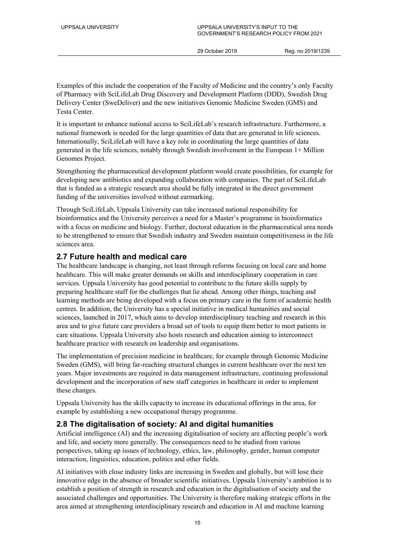Examples of this include the cooperation of the Faculty of Medicine and the country's only Faculty of Pharmacy with SciLifeLab Drug Discovery and Development Platform (DDD), Swedish Drug Delivery Center (SweDeliver) and the new initiatives Genomic Medicine Sweden (GMS) and Testa Center.

It is important to enhance national access to SciLifeLab's research infrastructure. Furthermore, a national framework is needed for the large quantities of data that are generated in life sciences. Internationally, SciLifeLab will have a key role in coordinating the large quantities of data generated in the life sciences, notably through Swedish involvement in the European 1+ Million Genomes Project.

Strengthening the pharmaceutical development platform would create possibilities, for example for developing new antibiotics and expanding collaboration with companies. The part of SciLifeLab that is funded as a strategic research area should be fully integrated in the direct government funding of the universities involved without earmarking.

Through SciLifeLab, Uppsala University can take increased national responsibility for bioinformatics and the University perceives a need for a Master's programme in bioinformatics with a focus on medicine and biology. Further, doctoral education in the pharmaceutical area needs to be strengthened to ensure that Swedish industry and Sweden maintain competitiveness in the life sciences area.

### **2.7 Future health and medical care**

The healthcare landscape is changing, not least through reforms focusing on local care and home healthcare. This will make greater demands on skills and interdisciplinary cooperation in care services. Uppsala University has good potential to contribute to the future skills supply by preparing healthcare staff for the challenges that lie ahead. Among other things, teaching and learning methods are being developed with a focus on primary care in the form of academic health centres. In addition, the University has a special initiative in medical humanities and social sciences, launched in 2017, which aims to develop interdisciplinary teaching and research in this area and to give future care providers a broad set of tools to equip them better to meet patients in care situations. Uppsala University also hosts research and education aiming to interconnect healthcare practice with research on leadership and organisations.

The implementation of precision medicine in healthcare, for example through Genomic Medicine Sweden (GMS), will bring far-reaching structural changes in current healthcare over the next ten years. Major investments are required in data management infrastructure, continuing professional development and the incorporation of new staff categories in healthcare in order to implement these changes.

Uppsala University has the skills capacity to increase its educational offerings in the area, for example by establishing a new occupational therapy programme.

### **2.8 The digitalisation of society: AI and digital humanities**

Artificial intelligence (AI) and the increasing digitalisation of society are affecting people's work and life, and society more generally. The consequences need to be studied from various perspectives, taking up issues of technology, ethics, law, philosophy, gender, human computer interaction, linguistics, education, politics and other fields.

AI initiatives with close industry links are increasing in Sweden and globally, but will lose their innovative edge in the absence of broader scientific initiatives. Uppsala University's ambition is to establish a position of strength in research and education in the digitalisation of society and the associated challenges and opportunities. The University is therefore making strategic efforts in the area aimed at strengthening interdisciplinary research and education in AI and machine learning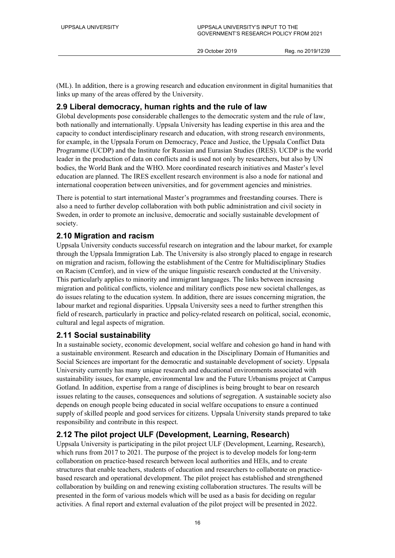(ML). In addition, there is a growing research and education environment in digital humanities that links up many of the areas offered by the University.

### **2.9 Liberal democracy, human rights and the rule of law**

Global developments pose considerable challenges to the democratic system and the rule of law, both nationally and internationally. Uppsala University has leading expertise in this area and the capacity to conduct interdisciplinary research and education, with strong research environments, for example, in the Uppsala Forum on Democracy, Peace and Justice, the Uppsala Conflict Data Programme (UCDP) and the Institute for Russian and Eurasian Studies (IRES). UCDP is the world leader in the production of data on conflicts and is used not only by researchers, but also by UN bodies, the World Bank and the WHO. More coordinated research initiatives and Master's level education are planned. The IRES excellent research environment is also a node for national and international cooperation between universities, and for government agencies and ministries.

There is potential to start international Master's programmes and freestanding courses. There is also a need to further develop collaboration with both public administration and civil society in Sweden, in order to promote an inclusive, democratic and socially sustainable development of society.

### **2.10 Migration and racism**

Uppsala University conducts successful research on integration and the labour market, for example through the Uppsala Immigration Lab. The University is also strongly placed to engage in research on migration and racism, following the establishment of the Centre for Multidisciplinary Studies on Racism (Cemfor), and in view of the unique linguistic research conducted at the University. This particularly applies to minority and immigrant languages. The links between increasing migration and political conflicts, violence and military conflicts pose new societal challenges, as do issues relating to the education system. In addition, there are issues concerning migration, the labour market and regional disparities. Uppsala University sees a need to further strengthen this field of research, particularly in practice and policy-related research on political, social, economic, cultural and legal aspects of migration.

### **2.11 Social sustainability**

In a sustainable society, economic development, social welfare and cohesion go hand in hand with a sustainable environment. Research and education in the Disciplinary Domain of Humanities and Social Sciences are important for the democratic and sustainable development of society. Uppsala University currently has many unique research and educational environments associated with sustainability issues, for example, environmental law and the Future Urbanisms project at Campus Gotland. In addition, expertise from a range of disciplines is being brought to bear on research issues relating to the causes, consequences and solutions of segregation. A sustainable society also depends on enough people being educated in social welfare occupations to ensure a continued supply of skilled people and good services for citizens. Uppsala University stands prepared to take responsibility and contribute in this respect.

### **2.12 The pilot project ULF (Development, Learning, Research)**

Uppsala University is participating in the pilot project ULF (Development, Learning, Research), which runs from 2017 to 2021. The purpose of the project is to develop models for long-term collaboration on practice-based research between local authorities and HEIs, and to create structures that enable teachers, students of education and researchers to collaborate on practicebased research and operational development. The pilot project has established and strengthened collaboration by building on and renewing existing collaboration structures. The results will be presented in the form of various models which will be used as a basis for deciding on regular activities. A final report and external evaluation of the pilot project will be presented in 2022.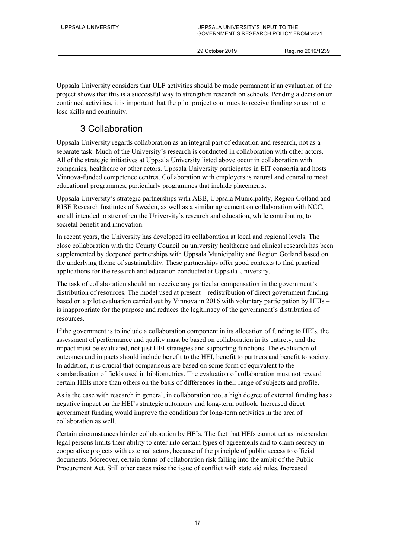Uppsala University considers that ULF activities should be made permanent if an evaluation of the project shows that this is a successful way to strengthen research on schools. Pending a decision on continued activities, it is important that the pilot project continues to receive funding so as not to lose skills and continuity.

### 3 Collaboration

Uppsala University regards collaboration as an integral part of education and research, not as a separate task. Much of the University's research is conducted in collaboration with other actors. All of the strategic initiatives at Uppsala University listed above occur in collaboration with companies, healthcare or other actors. Uppsala University participates in EIT consortia and hosts Vinnova-funded competence centres. Collaboration with employers is natural and central to most educational programmes, particularly programmes that include placements.

Uppsala University's strategic partnerships with ABB, Uppsala Municipality, Region Gotland and RISE Research Institutes of Sweden, as well as a similar agreement on collaboration with NCC, are all intended to strengthen the University's research and education, while contributing to societal benefit and innovation.

In recent years, the University has developed its collaboration at local and regional levels. The close collaboration with the County Council on university healthcare and clinical research has been supplemented by deepened partnerships with Uppsala Municipality and Region Gotland based on the underlying theme of sustainability. These partnerships offer good contexts to find practical applications for the research and education conducted at Uppsala University.

The task of collaboration should not receive any particular compensation in the government's distribution of resources. The model used at present – redistribution of direct government funding based on a pilot evaluation carried out by Vinnova in 2016 with voluntary participation by HEIs – is inappropriate for the purpose and reduces the legitimacy of the government's distribution of resources.

If the government is to include a collaboration component in its allocation of funding to HEIs, the assessment of performance and quality must be based on collaboration in its entirety, and the impact must be evaluated, not just HEI strategies and supporting functions. The evaluation of outcomes and impacts should include benefit to the HEI, benefit to partners and benefit to society. In addition, it is crucial that comparisons are based on some form of equivalent to the standardisation of fields used in bibliometrics. The evaluation of collaboration must not reward certain HEIs more than others on the basis of differences in their range of subjects and profile.

As is the case with research in general, in collaboration too, a high degree of external funding has a negative impact on the HEI's strategic autonomy and long-term outlook. Increased direct government funding would improve the conditions for long-term activities in the area of collaboration as well.

Certain circumstances hinder collaboration by HEIs. The fact that HEIs cannot act as independent legal persons limits their ability to enter into certain types of agreements and to claim secrecy in cooperative projects with external actors, because of the principle of public access to official documents. Moreover, certain forms of collaboration risk falling into the ambit of the Public Procurement Act. Still other cases raise the issue of conflict with state aid rules. Increased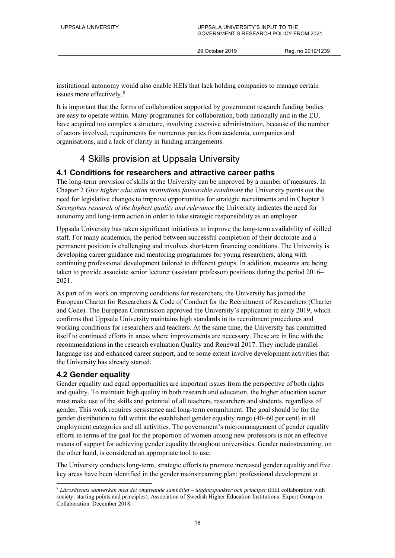institutional autonomy would also enable HEIs that lack holding companies to manage certain issues more effectively.<sup>[8](#page-18-0)</sup>

It is important that the forms of collaboration supported by government research funding bodies are easy to operate within. Many programmes for collaboration, both nationally and in the EU, have acquired too complex a structure, involving extensive administration, because of the number of actors involved, requirements for numerous parties from academia, companies and organisations, and a lack of clarity in funding arrangements.

### 4 Skills provision at Uppsala University

### **4.1 Conditions for researchers and attractive career paths**

The long-term provision of skills at the University can be improved by a number of measures. In Chapter 2 *Give higher education institutions favourable conditions* the University points out the need for legislative changes to improve opportunities for strategic recruitments and in Chapter 3 *Strengthen research of the highest quality and relevance* the University indicates the need for autonomy and long-term action in order to take strategic responsibility as an employer.

Uppsala University has taken significant initiatives to improve the long-term availability of skilled staff. For many academics, the period between successful completion of their doctorate and a permanent position is challenging and involves short-term financing conditions. The University is developing career guidance and mentoring programmes for young researchers, along with continuing professional development tailored to different groups. In addition, measures are being taken to provide associate senior lecturer (assistant professor) positions during the period 2016– 2021.

As part of its work on improving conditions for researchers, the University has joined the European Charter for Researchers & Code of Conduct for the Recruitment of Researchers (Charter and Code). The European Commission approved the University's application in early 2019, which confirms that Uppsala University maintains high standards in its recruitment procedures and working conditions for researchers and teachers. At the same time, the University has committed itself to continued efforts in areas where improvements are necessary. These are in line with the recommendations in the research evaluation Quality and Renewal 2017. They include parallel language use and enhanced career support, and to some extent involve development activities that the University has already started.

### **4.2 Gender equality**

Gender equality and equal opportunities are important issues from the perspective of both rights and quality. To maintain high quality in both research and education, the higher education sector must make use of the skills and potential of all teachers, researchers and students, regardless of gender. This work requires persistence and long-term commitment. The goal should be for the gender distribution to fall within the established gender equality range (40–60 per cent) in all employment categories and all activities. The government's micromanagement of gender equality efforts in terms of the goal for the proportion of women among new professors is not an effective means of support for achieving gender equality throughout universities. Gender mainstreaming, on the other hand, is considered an appropriate tool to use.

The University conducts long-term, strategic efforts to promote increased gender equality and five key areas have been identified in the gender mainstreaming plan: professional development at

<span id="page-18-0"></span> <sup>8</sup> *Lärosätenas samverkan med det omgivande samhället – utgångspunkter och principer* (HEI collaboration with society: starting points and principles). Association of Swedish Higher Education Institutions: Expert Group on Collaboration. December 2018.